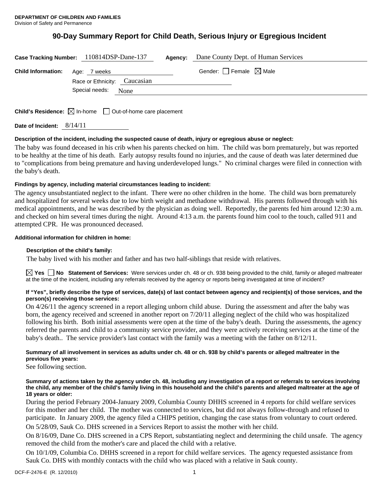# **90-Day Summary Report for Child Death, Serious Injury or Egregious Incident**

|                                                                             | Case Tracking Number: 110814DSP-Dane-137                                                                                                                                                                                                                                       | Agency: | Dane County Dept. of Human Services    |  |
|-----------------------------------------------------------------------------|--------------------------------------------------------------------------------------------------------------------------------------------------------------------------------------------------------------------------------------------------------------------------------|---------|----------------------------------------|--|
| <b>Child Information:</b> Age: 7 weeks                                      |                                                                                                                                                                                                                                                                                |         | Gender: $\Box$ Female $\boxtimes$ Male |  |
|                                                                             | Race or Ethnicity: Caucasian                                                                                                                                                                                                                                                   |         |                                        |  |
|                                                                             | Special needs: None                                                                                                                                                                                                                                                            |         |                                        |  |
|                                                                             |                                                                                                                                                                                                                                                                                |         |                                        |  |
| $\bullet \cdot \cdot \cdot$ $\bullet \cdot \cdot$ $\bullet$ $\bullet \cdot$ | $\Box$ and $\Box$ and $\Box$ and $\Box$ and $\Box$ and $\Box$ and $\Box$ and $\Box$ and $\Box$ and $\Box$ and $\Box$ and $\Box$ and $\Box$ and $\Box$ and $\Box$ and $\Box$ and $\Box$ and $\Box$ and $\Box$ and $\Box$ and $\Box$ and $\Box$ and $\Box$ and $\Box$ and $\Box$ |         |                                        |  |

**Child's Residence:**  $\boxtimes$  In-home  $\Box$  Out-of-home care placement

**Date of Incident:** 8/14/11

# **Description of the incident, including the suspected cause of death, injury or egregious abuse or neglect:**

The baby was found deceased in his crib when his parents checked on him. The child was born prematurely, but was reported to be healthy at the time of his death. Early autopsy results found no injuries, and the cause of death was later determined due to "complications from being premature and having underdeveloped lungs." No criminal charges were filed in connection with the baby's death.

# **Findings by agency, including material circumstances leading to incident:**

The agency unsubstantiated neglect to the infant. There were no other children in the home. The child was born prematurely and hospitalized for several weeks due to low birth weight and methadone withdrawal. His parents followed through with his medical appointments, and he was described by the physician as doing well. Reportedly, the parents fed him around 12:30 a.m. and checked on him several times during the night. Around 4:13 a.m. the parents found him cool to the touch, called 911 and attempted CPR. He was pronounced deceased.

# **Additional information for children in home:**

# **Description of the child's family:**

The baby lived with his mother and father and has two half-siblings that reside with relatives.

**Yes No Statement of Services:** Were services under ch. 48 or ch. 938 being provided to the child, family or alleged maltreater at the time of the incident, including any referrals received by the agency or reports being investigated at time of incident?

# **If "Yes", briefly describe the type of services, date(s) of last contact between agency and recipient(s) of those services, and the person(s) receiving those services:**

On 4/26/11 the agency screened in a report alleging unborn child abuse. During the assessment and after the baby was born, the agency received and screened in another report on 7/20/11 alleging neglect of the child who was hospitalized following his birth. Both initial assessments were open at the time of the baby's death. During the assessments, the agency referred the parents and child to a community service provider, and they were actively receiving services at the time of the baby's death.. The service provider's last contact with the family was a meeting with the father on 8/12/11.

# **Summary of all involvement in services as adults under ch. 48 or ch. 938 by child's parents or alleged maltreater in the previous five years:**

See following section.

#### **Summary of actions taken by the agency under ch. 48, including any investigation of a report or referrals to services involving the child, any member of the child's family living in this household and the child's parents and alleged maltreater at the age of 18 years or older:**

During the period February 2004-January 2009, Columbia County DHHS screened in 4 reports for child welfare services for this mother and her child. The mother was connected to services, but did not always follow-through and refused to participate. In January 2009, the agency filed a CHIPS petition, changing the case status from voluntary to court ordered. On 5/28/09, Sauk Co. DHS screened in a Services Report to assist the mother with her child.

On 8/16/09, Dane Co. DHS screened in a CPS Report, substantiating neglect and determining the child unsafe. The agency removed the child from the mother's care and placed the child with a relative.

On 10/1/09, Columbia Co. DHHS screened in a report for child welfare services. The agency requested assistance from Sauk Co. DHS with monthly contacts with the child who was placed with a relative in Sauk county.